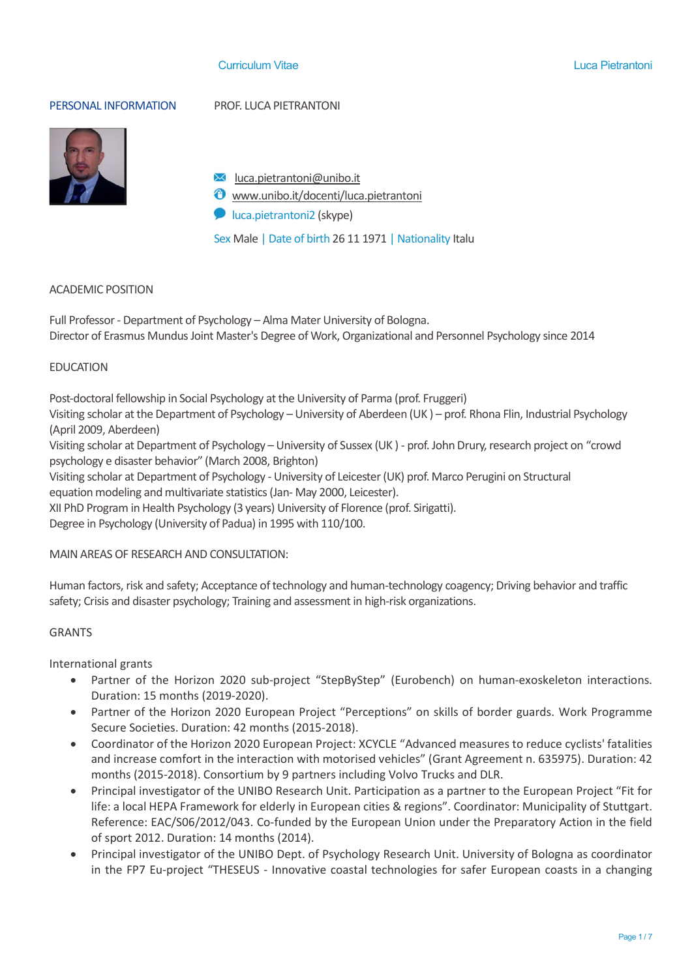#### Curriculum Vitae Luca Pietrantoni

PERSONAL INFORMATION PROF. LUCA PIETRANTONI



- $\mathsf{M}$  luca.pietrantoni@unibo.it
- $\bullet$  www.unibo.it/docenti/luca.pietrantoni
- **D** luca.pietrantoni2 (skype)

Sex Male | Date of birth 26 11 1971 | Nationality Italu

#### ACADEMIC POSITION

Full Professor - Department of Psychology – Alma Mater University of Bologna. Director of Erasmus Mundus Joint Master's Degree of Work, Organizational and Personnel Psychology since 2014

#### EDUCATION

Post-doctoral fellowship in Social Psychology at the University of Parma (prof. Fruggeri)

Visiting scholar at the Department of Psychology – University of Aberdeen (UK ) – prof. Rhona Flin, Industrial Psychology (April 2009, Aberdeen)

Visiting scholar at Department of Psychology – University of Sussex (UK) - prof. John Drury, research project on "crowd psychology e disaster behavior" (March 2008, Brighton)

Visiting scholar at Department of Psychology - University of Leicester (UK) prof. Marco Perugini on Structural equation modeling and multivariate statistics (Jan- May 2000, Leicester).

XII PhD Program in Health Psychology (3 years) University of Florence (prof. Sirigatti).

Degree in Psychology (University of Padua) in 1995 with 110/100.

#### MAIN AREAS OF RESEARCH AND CONSULTATION:

Human factors, risk and safety; Acceptance of technology and human-technology coagency; Driving behavior and traffic safety; Crisis and disaster psychology; Training and assessment in high-risk organizations.

#### GRANTS

International grants

- Partner of the Horizon 2020 sub-project "StepByStep" (Eurobench) on human-exoskeleton interactions. Duration: 15 months (2019-2020).
- Partner of the Horizon 2020 European Project "Perceptions" on skills of border guards. Work Programme Secure Societies. Duration: 42 months (2015-2018).
- Coordinator of the Horizon 2020 European Project: XCYCLE "Advanced measures to reduce cyclists' fatalities and increase comfort in the interaction with motorised vehicles" (Grant Agreement n. 635975). Duration: 42 months (2015-2018). Consortium by 9 partners including Volvo Trucks and DLR.
- Principal investigator of the UNIBO Research Unit. Participation as a partner to the European Project "Fit for life: a local HEPA Framework for elderly in European cities & regions". Coordinator: Municipality of Stuttgart. Reference: EAC/S06/2012/043. Co-funded by the European Union under the Preparatory Action in the field of sport 2012. Duration: 14 months (2014).
- Principal investigator of the UNIBO Dept. of Psychology Research Unit. University of Bologna as coordinator in the FP7 Eu-project "THESEUS - Innovative coastal technologies for safer European coasts in a changing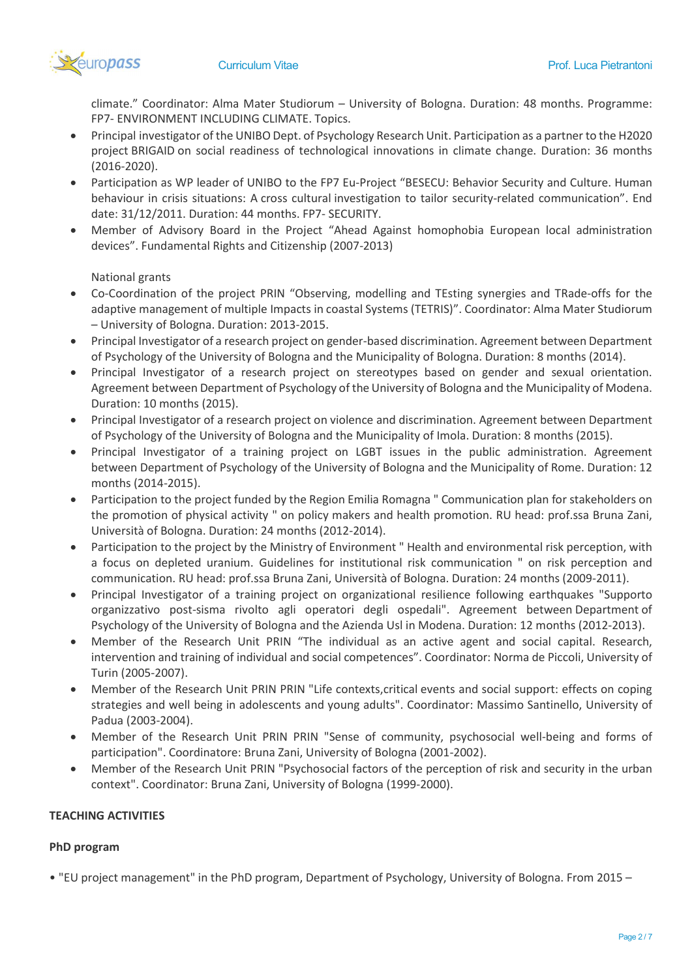

climate." Coordinator: Alma Mater Studiorum – University of Bologna. Duration: 48 months. Programme: FP7- ENVIRONMENT INCLUDING CLIMATE. Topics.

- Principal investigator of the UNIBO Dept. of Psychology Research Unit. Participation as a partner to the H2020 project BRIGAID on social readiness of technological innovations in climate change. Duration: 36 months (2016-2020).
- Participation as WP leader of UNIBO to the FP7 Eu-Project "BESECU: Behavior Security and Culture. Human behaviour in crisis situations: A cross cultural investigation to tailor security-related communication". End date: 31/12/2011. Duration: 44 months. FP7- SECURITY.
- Member of Advisory Board in the Project "Ahead Against homophobia European local administration devices". Fundamental Rights and Citizenship (2007-2013)

## National grants

- Co-Coordination of the project PRIN "Observing, modelling and TEsting synergies and TRade-offs for the adaptive management of multiple Impacts in coastal Systems (TETRIS)". Coordinator: Alma Mater Studiorum – University of Bologna. Duration: 2013-2015.
- Principal Investigator of a research project on gender-based discrimination. Agreement between Department of Psychology of the University of Bologna and the Municipality of Bologna. Duration: 8 months (2014).
- Principal Investigator of a research project on stereotypes based on gender and sexual orientation. Agreement between Department of Psychology of the University of Bologna and the Municipality of Modena. Duration: 10 months (2015).
- Principal Investigator of a research project on violence and discrimination. Agreement between Department of Psychology of the University of Bologna and the Municipality of Imola. Duration: 8 months (2015).
- Principal Investigator of a training project on LGBT issues in the public administration. Agreement between Department of Psychology of the University of Bologna and the Municipality of Rome. Duration: 12 months (2014-2015).
- Participation to the project funded by the Region Emilia Romagna " Communication plan for stakeholders on the promotion of physical activity " on policy makers and health promotion. RU head: prof.ssa Bruna Zani, Università of Bologna. Duration: 24 months (2012-2014).
- Participation to the project by the Ministry of Environment " Health and environmental risk perception, with a focus on depleted uranium. Guidelines for institutional risk communication " on risk perception and communication. RU head: prof.ssa Bruna Zani, Università of Bologna. Duration: 24 months (2009-2011).
- Principal Investigator of a training project on organizational resilience following earthquakes "Supporto organizzativo post-sisma rivolto agli operatori degli ospedali". Agreement between Department of Psychology of the University of Bologna and the Azienda Usl in Modena. Duration: 12 months (2012-2013).
- Member of the Research Unit PRIN "The individual as an active agent and social capital. Research, intervention and training of individual and social competences". Coordinator: Norma de Piccoli, University of Turin (2005-2007).
- Member of the Research Unit PRIN PRIN "Life contexts,critical events and social support: effects on coping strategies and well being in adolescents and young adults". Coordinator: Massimo Santinello, University of Padua (2003-2004).
- Member of the Research Unit PRIN PRIN "Sense of community, psychosocial well-being and forms of participation". Coordinatore: Bruna Zani, University of Bologna (2001-2002).
- Member of the Research Unit PRIN "Psychosocial factors of the perception of risk and security in the urban context". Coordinator: Bruna Zani, University of Bologna (1999-2000).

#### TEACHING ACTIVITIES

# PhD program

• "EU project management" in the PhD program, Department of Psychology, University of Bologna. From 2015 –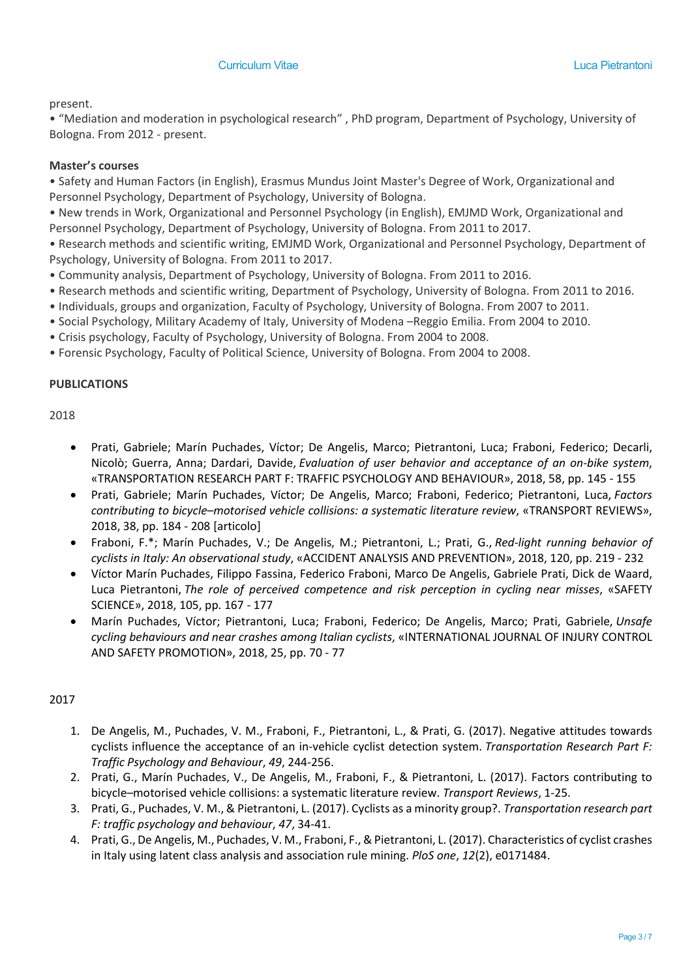### present.

• "Mediation and moderation in psychological research" , PhD program, Department of Psychology, University of Bologna. From 2012 - present.

### Master's courses

• Safety and Human Factors (in English), Erasmus Mundus Joint Master's Degree of Work, Organizational and Personnel Psychology, Department of Psychology, University of Bologna.

• New trends in Work, Organizational and Personnel Psychology (in English), EMJMD Work, Organizational and Personnel Psychology, Department of Psychology, University of Bologna. From 2011 to 2017.

• Research methods and scientific writing, EMJMD Work, Organizational and Personnel Psychology, Department of Psychology, University of Bologna. From 2011 to 2017.

• Community analysis, Department of Psychology, University of Bologna. From 2011 to 2016.

- Research methods and scientific writing, Department of Psychology, University of Bologna. From 2011 to 2016.
- Individuals, groups and organization, Faculty of Psychology, University of Bologna. From 2007 to 2011.
- Social Psychology, Military Academy of Italy, University of Modena –Reggio Emilia. From 2004 to 2010.
- Crisis psychology, Faculty of Psychology, University of Bologna. From 2004 to 2008.
- Forensic Psychology, Faculty of Political Science, University of Bologna. From 2004 to 2008.

## PUBLICATIONS

2018

- Prati, Gabriele; Marín Puchades, Víctor; De Angelis, Marco; Pietrantoni, Luca; Fraboni, Federico; Decarli, Nicolò; Guerra, Anna; Dardari, Davide, Evaluation of user behavior and acceptance of an on-bike system, «TRANSPORTATION RESEARCH PART F: TRAFFIC PSYCHOLOGY AND BEHAVIOUR», 2018, 58, pp. 145 - 155
- Prati, Gabriele; Marín Puchades, Víctor; De Angelis, Marco; Fraboni, Federico; Pietrantoni, Luca, Factors contributing to bicycle–motorised vehicle collisions: a systematic literature review, «TRANSPORT REVIEWS», 2018, 38, pp. 184 - 208 [articolo]
- Fraboni, F.\*; Marín Puchades, V.; De Angelis, M.; Pietrantoni, L.; Prati, G., Red-light running behavior of cyclists in Italy: An observational study, «ACCIDENT ANALYSIS AND PREVENTION», 2018, 120, pp. 219 - 232
- Víctor Marín Puchades, Filippo Fassina, Federico Fraboni, Marco De Angelis, Gabriele Prati, Dick de Waard, Luca Pietrantoni, The role of perceived competence and risk perception in cycling near misses, «SAFETY SCIENCE», 2018, 105, pp. 167 - 177
- Marín Puchades, Víctor; Pietrantoni, Luca; Fraboni, Federico; De Angelis, Marco; Prati, Gabriele, Unsafe cycling behaviours and near crashes among Italian cyclists, «INTERNATIONAL JOURNAL OF INJURY CONTROL AND SAFETY PROMOTION», 2018, 25, pp. 70 - 77

# 2017

- 1. De Angelis, M., Puchades, V. M., Fraboni, F., Pietrantoni, L., & Prati, G. (2017). Negative attitudes towards cyclists influence the acceptance of an in-vehicle cyclist detection system. Transportation Research Part F: Traffic Psychology and Behaviour, 49, 244-256.
- 2. Prati, G., Marín Puchades, V., De Angelis, M., Fraboni, F., & Pietrantoni, L. (2017). Factors contributing to bicycle–motorised vehicle collisions: a systematic literature review. Transport Reviews, 1-25.
- 3. Prati, G., Puchades, V. M., & Pietrantoni, L. (2017). Cyclists as a minority group?. Transportation research part F: traffic psychology and behaviour, 47, 34-41.
- 4. Prati, G., De Angelis, M., Puchades, V. M., Fraboni, F., & Pietrantoni, L. (2017). Characteristics of cyclist crashes in Italy using latent class analysis and association rule mining. PloS one, 12(2), e0171484.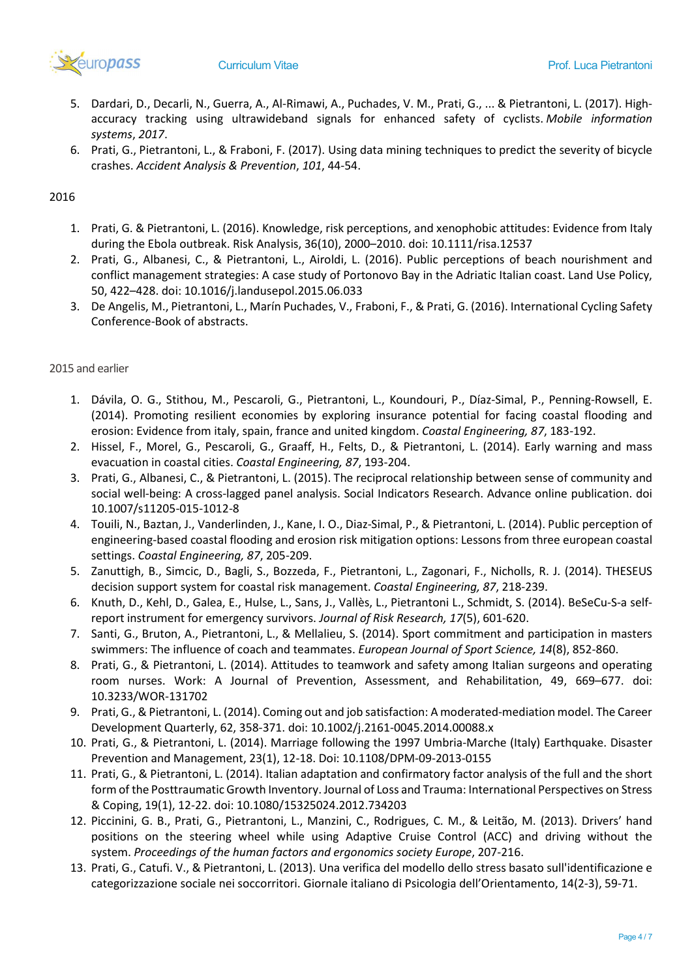

- 5. Dardari, D., Decarli, N., Guerra, A., Al-Rimawi, A., Puchades, V. M., Prati, G., ... & Pietrantoni, L. (2017). Highaccuracy tracking using ultrawideband signals for enhanced safety of cyclists. Mobile information systems, 2017.
- 6. Prati, G., Pietrantoni, L., & Fraboni, F. (2017). Using data mining techniques to predict the severity of bicycle crashes. Accident Analysis & Prevention, 101, 44-54.

## 2016

- 1. Prati, G. & Pietrantoni, L. (2016). Knowledge, risk perceptions, and xenophobic attitudes: Evidence from Italy during the Ebola outbreak. Risk Analysis, 36(10), 2000–2010. doi: 10.1111/risa.12537
- 2. Prati, G., Albanesi, C., & Pietrantoni, L., Airoldi, L. (2016). Public perceptions of beach nourishment and conflict management strategies: A case study of Portonovo Bay in the Adriatic Italian coast. Land Use Policy, 50, 422–428. doi: 10.1016/j.landusepol.2015.06.033
- 3. De Angelis, M., Pietrantoni, L., Marín Puchades, V., Fraboni, F., & Prati, G. (2016). International Cycling Safety Conference-Book of abstracts.

## 2015 and earlier

- 1. Dávila, O. G., Stithou, M., Pescaroli, G., Pietrantoni, L., Koundouri, P., Díaz-Simal, P., Penning-Rowsell, E. (2014). Promoting resilient economies by exploring insurance potential for facing coastal flooding and erosion: Evidence from italy, spain, france and united kingdom. Coastal Engineering, 87, 183-192.
- 2. Hissel, F., Morel, G., Pescaroli, G., Graaff, H., Felts, D., & Pietrantoni, L. (2014). Early warning and mass evacuation in coastal cities. Coastal Engineering, 87, 193-204.
- 3. Prati, G., Albanesi, C., & Pietrantoni, L. (2015). The reciprocal relationship between sense of community and social well-being: A cross-lagged panel analysis. Social Indicators Research. Advance online publication. doi 10.1007/s11205-015-1012-8
- 4. Touili, N., Baztan, J., Vanderlinden, J., Kane, I. O., Diaz-Simal, P., & Pietrantoni, L. (2014). Public perception of engineering-based coastal flooding and erosion risk mitigation options: Lessons from three european coastal settings. Coastal Engineering, 87, 205-209.
- 5. Zanuttigh, B., Simcic, D., Bagli, S., Bozzeda, F., Pietrantoni, L., Zagonari, F., Nicholls, R. J. (2014). THESEUS decision support system for coastal risk management. Coastal Engineering, 87, 218-239.
- 6. Knuth, D., Kehl, D., Galea, E., Hulse, L., Sans, J., Vallès, L., Pietrantoni L., Schmidt, S. (2014). BeSeCu-S-a selfreport instrument for emergency survivors. Journal of Risk Research, 17(5), 601-620.
- 7. Santi, G., Bruton, A., Pietrantoni, L., & Mellalieu, S. (2014). Sport commitment and participation in masters swimmers: The influence of coach and teammates. European Journal of Sport Science, 14(8), 852-860.
- 8. Prati, G., & Pietrantoni, L. (2014). Attitudes to teamwork and safety among Italian surgeons and operating room nurses. Work: A Journal of Prevention, Assessment, and Rehabilitation, 49, 669–677. doi: 10.3233/WOR-131702
- 9. Prati, G., & Pietrantoni, L. (2014). Coming out and job satisfaction: A moderated-mediation model. The Career Development Quarterly, 62, 358-371. doi: 10.1002/j.2161-0045.2014.00088.x
- 10. Prati, G., & Pietrantoni, L. (2014). Marriage following the 1997 Umbria-Marche (Italy) Earthquake. Disaster Prevention and Management, 23(1), 12-18. Doi: 10.1108/DPM-09-2013-0155
- 11. Prati, G., & Pietrantoni, L. (2014). Italian adaptation and confirmatory factor analysis of the full and the short form of the Posttraumatic Growth Inventory. Journal of Loss and Trauma: International Perspectives on Stress & Coping, 19(1), 12-22. doi: 10.1080/15325024.2012.734203
- 12. Piccinini, G. B., Prati, G., Pietrantoni, L., Manzini, C., Rodrigues, C. M., & Leitão, M. (2013). Drivers' hand positions on the steering wheel while using Adaptive Cruise Control (ACC) and driving without the system. Proceedings of the human factors and ergonomics society Europe, 207-216.
- 13. Prati, G., Catufi. V., & Pietrantoni, L. (2013). Una verifica del modello dello stress basato sull'identificazione e categorizzazione sociale nei soccorritori. Giornale italiano di Psicologia dell'Orientamento, 14(2-3), 59-71.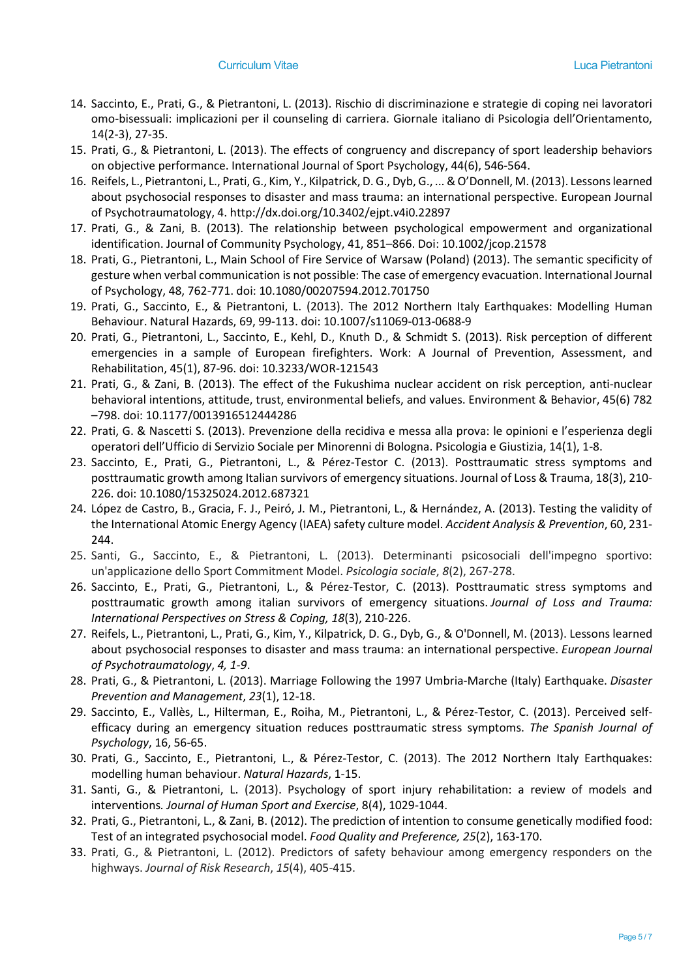- 14. Saccinto, E., Prati, G., & Pietrantoni, L. (2013). Rischio di discriminazione e strategie di coping nei lavoratori omo-bisessuali: implicazioni per il counseling di carriera. Giornale italiano di Psicologia dell'Orientamento, 14(2-3), 27-35.
- 15. Prati, G., & Pietrantoni, L. (2013). The effects of congruency and discrepancy of sport leadership behaviors on objective performance. International Journal of Sport Psychology, 44(6), 546-564.
- 16. Reifels, L., Pietrantoni, L., Prati, G., Kim, Y., Kilpatrick, D. G., Dyb, G., ... & O'Donnell, M. (2013). Lessons learned about psychosocial responses to disaster and mass trauma: an international perspective. European Journal of Psychotraumatology, 4. http://dx.doi.org/10.3402/ejpt.v4i0.22897
- 17. Prati, G., & Zani, B. (2013). The relationship between psychological empowerment and organizational identification. Journal of Community Psychology, 41, 851–866. Doi: 10.1002/jcop.21578
- 18. Prati, G., Pietrantoni, L., Main School of Fire Service of Warsaw (Poland) (2013). The semantic specificity of gesture when verbal communication is not possible: The case of emergency evacuation. International Journal of Psychology, 48, 762-771. doi: 10.1080/00207594.2012.701750
- 19. Prati, G., Saccinto, E., & Pietrantoni, L. (2013). The 2012 Northern Italy Earthquakes: Modelling Human Behaviour. Natural Hazards, 69, 99-113. doi: 10.1007/s11069-013-0688-9
- 20. Prati, G., Pietrantoni, L., Saccinto, E., Kehl, D., Knuth D., & Schmidt S. (2013). Risk perception of different emergencies in a sample of European firefighters. Work: A Journal of Prevention, Assessment, and Rehabilitation, 45(1), 87-96. doi: 10.3233/WOR-121543
- 21. Prati, G., & Zani, B. (2013). The effect of the Fukushima nuclear accident on risk perception, anti-nuclear behavioral intentions, attitude, trust, environmental beliefs, and values. Environment & Behavior, 45(6) 782 –798. doi: 10.1177/0013916512444286
- 22. Prati, G. & Nascetti S. (2013). Prevenzione della recidiva e messa alla prova: le opinioni e l'esperienza degli operatori dell'Ufficio di Servizio Sociale per Minorenni di Bologna. Psicologia e Giustizia, 14(1), 1-8.
- 23. Saccinto, E., Prati, G., Pietrantoni, L., & Pérez-Testor C. (2013). Posttraumatic stress symptoms and posttraumatic growth among Italian survivors of emergency situations. Journal of Loss & Trauma, 18(3), 210- 226. doi: 10.1080/15325024.2012.687321
- 24. López de Castro, B., Gracia, F. J., Peiró, J. M., Pietrantoni, L., & Hernández, A. (2013). Testing the validity of the International Atomic Energy Agency (IAEA) safety culture model. Accident Analysis & Prevention, 60, 231-244.
- 25. Santi, G., Saccinto, E., & Pietrantoni, L. (2013). Determinanti psicosociali dell'impegno sportivo: un'applicazione dello Sport Commitment Model. Psicologia sociale, 8(2), 267-278.
- 26. Saccinto, E., Prati, G., Pietrantoni, L., & Pérez-Testor, C. (2013). Posttraumatic stress symptoms and posttraumatic growth among italian survivors of emergency situations. Journal of Loss and Trauma: International Perspectives on Stress & Coping, 18(3), 210-226.
- 27. Reifels, L., Pietrantoni, L., Prati, G., Kim, Y., Kilpatrick, D. G., Dyb, G., & O'Donnell, M. (2013). Lessons learned about psychosocial responses to disaster and mass trauma: an international perspective. European Journal of Psychotraumatology, 4, 1-9.
- 28. Prati, G., & Pietrantoni, L. (2013). Marriage Following the 1997 Umbria-Marche (Italy) Earthquake. Disaster Prevention and Management, 23(1), 12-18.
- 29. Saccinto, E., Vallès, L., Hilterman, E., Roiha, M., Pietrantoni, L., & Pérez-Testor, C. (2013). Perceived selfefficacy during an emergency situation reduces posttraumatic stress symptoms. The Spanish Journal of Psychology, 16, 56-65.
- 30. Prati, G., Saccinto, E., Pietrantoni, L., & Pérez-Testor, C. (2013). The 2012 Northern Italy Earthquakes: modelling human behaviour. Natural Hazards, 1-15.
- 31. Santi, G., & Pietrantoni, L. (2013). Psychology of sport injury rehabilitation: a review of models and interventions. Journal of Human Sport and Exercise, 8(4), 1029-1044.
- 32. Prati, G., Pietrantoni, L., & Zani, B. (2012). The prediction of intention to consume genetically modified food: Test of an integrated psychosocial model. Food Quality and Preference, 25(2), 163-170.
- 33. Prati, G., & Pietrantoni, L. (2012). Predictors of safety behaviour among emergency responders on the highways. Journal of Risk Research, 15(4), 405-415.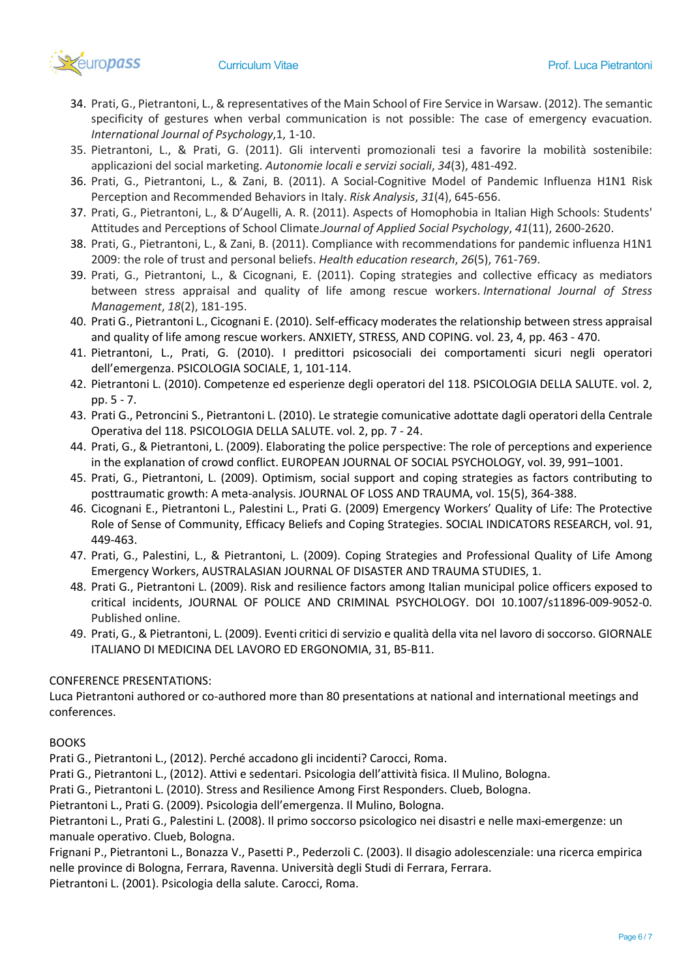

- 34. Prati, G., Pietrantoni, L., & representatives of the Main School of Fire Service in Warsaw. (2012). The semantic specificity of gestures when verbal communication is not possible: The case of emergency evacuation. International Journal of Psychology,1, 1-10.
- 35. Pietrantoni, L., & Prati, G. (2011). Gli interventi promozionali tesi a favorire la mobilità sostenibile: applicazioni del social marketing. Autonomie locali e servizi sociali, 34(3), 481-492.
- 36. Prati, G., Pietrantoni, L., & Zani, B. (2011). A Social-Cognitive Model of Pandemic Influenza H1N1 Risk Perception and Recommended Behaviors in Italy. Risk Analysis, 31(4), 645-656.
- 37. Prati, G., Pietrantoni, L., & D'Augelli, A. R. (2011). Aspects of Homophobia in Italian High Schools: Students' Attitudes and Perceptions of School Climate.Journal of Applied Social Psychology, 41(11), 2600-2620.
- 38. Prati, G., Pietrantoni, L., & Zani, B. (2011). Compliance with recommendations for pandemic influenza H1N1 2009: the role of trust and personal beliefs. Health education research, 26(5), 761-769.
- 39. Prati, G., Pietrantoni, L., & Cicognani, E. (2011). Coping strategies and collective efficacy as mediators between stress appraisal and quality of life among rescue workers. International Journal of Stress Management, 18(2), 181-195.
- 40. Prati G., Pietrantoni L., Cicognani E. (2010). Self-efficacy moderates the relationship between stress appraisal and quality of life among rescue workers. ANXIETY, STRESS, AND COPING. vol. 23, 4, pp. 463 - 470.
- 41. Pietrantoni, L., Prati, G. (2010). I predittori psicosociali dei comportamenti sicuri negli operatori dell'emergenza. PSICOLOGIA SOCIALE, 1, 101-114.
- 42. Pietrantoni L. (2010). Competenze ed esperienze degli operatori del 118. PSICOLOGIA DELLA SALUTE. vol. 2, pp. 5 - 7.
- 43. Prati G., Petroncini S., Pietrantoni L. (2010). Le strategie comunicative adottate dagli operatori della Centrale Operativa del 118. PSICOLOGIA DELLA SALUTE. vol. 2, pp. 7 - 24.
- 44. Prati, G., & Pietrantoni, L. (2009). Elaborating the police perspective: The role of perceptions and experience in the explanation of crowd conflict. EUROPEAN JOURNAL OF SOCIAL PSYCHOLOGY, vol. 39, 991–1001.
- 45. Prati, G., Pietrantoni, L. (2009). Optimism, social support and coping strategies as factors contributing to posttraumatic growth: A meta-analysis. JOURNAL OF LOSS AND TRAUMA, vol. 15(5), 364-388.
- 46. Cicognani E., Pietrantoni L., Palestini L., Prati G. (2009) Emergency Workers' Quality of Life: The Protective Role of Sense of Community, Efficacy Beliefs and Coping Strategies. SOCIAL INDICATORS RESEARCH, vol. 91, 449-463.
- 47. Prati, G., Palestini, L., & Pietrantoni, L. (2009). Coping Strategies and Professional Quality of Life Among Emergency Workers, AUSTRALASIAN JOURNAL OF DISASTER AND TRAUMA STUDIES, 1.
- 48. Prati G., Pietrantoni L. (2009). Risk and resilience factors among Italian municipal police officers exposed to critical incidents, JOURNAL OF POLICE AND CRIMINAL PSYCHOLOGY. DOI 10.1007/s11896-009-9052-0. Published online.
- 49. Prati, G., & Pietrantoni, L. (2009). Eventi critici di servizio e qualità della vita nel lavoro di soccorso. GIORNALE ITALIANO DI MEDICINA DEL LAVORO ED ERGONOMIA, 31, B5-B11.

# CONFERENCE PRESENTATIONS:

Luca Pietrantoni authored or co-authored more than 80 presentations at national and international meetings and conferences.

#### BOOKS

Prati G., Pietrantoni L., (2012). Perché accadono gli incidenti? Carocci, Roma.

Prati G., Pietrantoni L., (2012). Attivi e sedentari. Psicologia dell'attività fisica. Il Mulino, Bologna.

Prati G., Pietrantoni L. (2010). Stress and Resilience Among First Responders. Clueb, Bologna.

Pietrantoni L., Prati G. (2009). Psicologia dell'emergenza. Il Mulino, Bologna.

Pietrantoni L., Prati G., Palestini L. (2008). Il primo soccorso psicologico nei disastri e nelle maxi-emergenze: un manuale operativo. Clueb, Bologna.

Frignani P., Pietrantoni L., Bonazza V., Pasetti P., Pederzoli C. (2003). Il disagio adolescenziale: una ricerca empirica nelle province di Bologna, Ferrara, Ravenna. Università degli Studi di Ferrara, Ferrara.

Pietrantoni L. (2001). Psicologia della salute. Carocci, Roma.